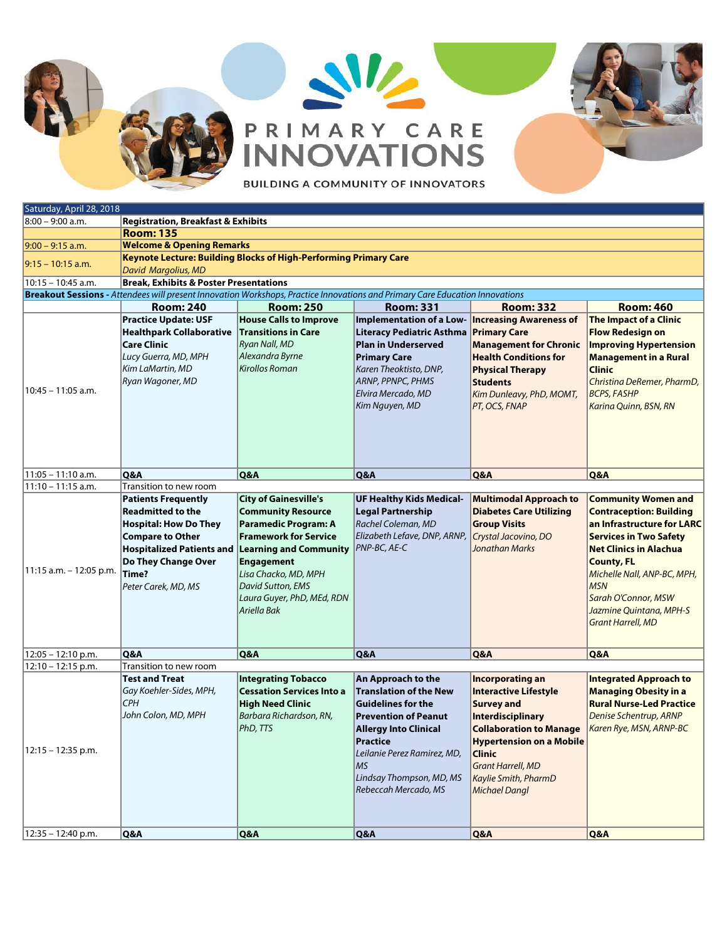## W PRIMARY CARE



**BUILDING A COMMUNITY OF INNOVATORS** 

| Saturday, April 28, 2018                                                                                                     |                                                                                                                                                                                                              |                                                                                                                                                                                                                                                                          |                                                                                                                                                                                                                                                             |                                                                                                                                                                                                                                                                     |                                                                                                                                                                                                                                                                                                              |  |  |  |
|------------------------------------------------------------------------------------------------------------------------------|--------------------------------------------------------------------------------------------------------------------------------------------------------------------------------------------------------------|--------------------------------------------------------------------------------------------------------------------------------------------------------------------------------------------------------------------------------------------------------------------------|-------------------------------------------------------------------------------------------------------------------------------------------------------------------------------------------------------------------------------------------------------------|---------------------------------------------------------------------------------------------------------------------------------------------------------------------------------------------------------------------------------------------------------------------|--------------------------------------------------------------------------------------------------------------------------------------------------------------------------------------------------------------------------------------------------------------------------------------------------------------|--|--|--|
| 8:00 - 9:00 a.m.                                                                                                             | <b>Registration, Breakfast &amp; Exhibits</b>                                                                                                                                                                |                                                                                                                                                                                                                                                                          |                                                                                                                                                                                                                                                             |                                                                                                                                                                                                                                                                     |                                                                                                                                                                                                                                                                                                              |  |  |  |
|                                                                                                                              | <b>Room: 135</b>                                                                                                                                                                                             |                                                                                                                                                                                                                                                                          |                                                                                                                                                                                                                                                             |                                                                                                                                                                                                                                                                     |                                                                                                                                                                                                                                                                                                              |  |  |  |
| $9:00 - 9:15$ a.m.                                                                                                           | <b>Welcome &amp; Opening Remarks</b>                                                                                                                                                                         |                                                                                                                                                                                                                                                                          |                                                                                                                                                                                                                                                             |                                                                                                                                                                                                                                                                     |                                                                                                                                                                                                                                                                                                              |  |  |  |
| $9:15 - 10:15$ a.m.                                                                                                          | <b>Keynote Lecture: Building Blocks of High-Performing Primary Care</b><br>David Margolius, MD                                                                                                               |                                                                                                                                                                                                                                                                          |                                                                                                                                                                                                                                                             |                                                                                                                                                                                                                                                                     |                                                                                                                                                                                                                                                                                                              |  |  |  |
| $10:15 - 10:45$ a.m.                                                                                                         | <b>Break, Exhibits &amp; Poster Presentations</b>                                                                                                                                                            |                                                                                                                                                                                                                                                                          |                                                                                                                                                                                                                                                             |                                                                                                                                                                                                                                                                     |                                                                                                                                                                                                                                                                                                              |  |  |  |
| Breakout Sessions - Attendees will present Innovation Workshops, Practice Innovations and Primary Care Education Innovations |                                                                                                                                                                                                              |                                                                                                                                                                                                                                                                          |                                                                                                                                                                                                                                                             |                                                                                                                                                                                                                                                                     |                                                                                                                                                                                                                                                                                                              |  |  |  |
|                                                                                                                              | <b>Room: 240</b>                                                                                                                                                                                             | <b>Room: 250</b>                                                                                                                                                                                                                                                         | <b>Room: 331</b>                                                                                                                                                                                                                                            | <b>Room: 332</b>                                                                                                                                                                                                                                                    | <b>Room: 460</b>                                                                                                                                                                                                                                                                                             |  |  |  |
|                                                                                                                              | <b>Practice Update: USF</b><br><b>Healthpark Collaborative</b><br><b>Care Clinic</b><br>Lucy Guerra, MD, MPH<br>Kim LaMartin, MD                                                                             | <b>House Calls to Improve</b><br><b>Transitions in Care</b><br><b>Ryan Nall, MD</b><br>Alexandra Byrne<br><b>Kirollos Roman</b>                                                                                                                                          | Implementation of a Low- Increasing Awareness of<br>Literacy Pediatric Asthma Primary Care<br><b>Plan in Underserved</b><br><b>Primary Care</b><br>Karen Theoktisto, DNP,                                                                                   | <b>Management for Chronic</b><br><b>Health Conditions for</b><br><b>Physical Therapy</b>                                                                                                                                                                            | The Impact of a Clinic<br><b>Flow Redesign on</b><br><b>Improving Hypertension</b><br><b>Management in a Rural</b><br><b>Clinic</b>                                                                                                                                                                          |  |  |  |
| 10:45 - 11:05 a.m.                                                                                                           | Ryan Wagoner, MD                                                                                                                                                                                             |                                                                                                                                                                                                                                                                          | <b>ARNP, PPNPC, PHMS</b><br>Elvira Mercado, MD<br>Kim Nguyen, MD                                                                                                                                                                                            | <b>Students</b><br>Kim Dunleavy, PhD, MOMT,<br>PT, OCS, FNAP                                                                                                                                                                                                        | Christina DeRemer, PharmD,<br><b>BCPS, FASHP</b><br>Karina Quinn, BSN, RN                                                                                                                                                                                                                                    |  |  |  |
| $11:05 - 11:10$ a.m.                                                                                                         | Q&A                                                                                                                                                                                                          | Q&A                                                                                                                                                                                                                                                                      | Q&A                                                                                                                                                                                                                                                         | Q&A                                                                                                                                                                                                                                                                 | Q&A                                                                                                                                                                                                                                                                                                          |  |  |  |
| 11:10 - 11:15 a.m.                                                                                                           | Transition to new room                                                                                                                                                                                       |                                                                                                                                                                                                                                                                          |                                                                                                                                                                                                                                                             |                                                                                                                                                                                                                                                                     |                                                                                                                                                                                                                                                                                                              |  |  |  |
| 11:15 a.m. - 12:05 p.m.                                                                                                      | <b>Patients Frequently</b><br><b>Readmitted to the</b><br><b>Hospital: How Do They</b><br><b>Compare to Other</b><br><b>Hospitalized Patients and</b><br>Do They Change Over<br>Time?<br>Peter Carek, MD, MS | <b>City of Gainesville's</b><br><b>Community Resource</b><br><b>Paramedic Program: A</b><br><b>Framework for Service</b><br><b>Learning and Community</b><br><b>Engagement</b><br>Lisa Chacko, MD, MPH<br>David Sutton, EMS<br>Laura Guyer, PhD, MEd, RDN<br>Ariella Bak | <b>UF Healthy Kids Medical-</b><br><b>Legal Partnership</b><br>Rachel Coleman, MD<br>Elizabeth Lefave, DNP, ARNP,<br><b>PNP-BC, AE-C</b>                                                                                                                    | <b>Multimodal Approach to</b><br><b>Diabetes Care Utilizing</b><br><b>Group Visits</b><br>Crystal Jacovino, DO<br><b>Jonathan Marks</b>                                                                                                                             | <b>Community Women and</b><br><b>Contraception: Building</b><br>an Infrastructure for LARC<br><b>Services in Two Safety</b><br><b>Net Clinics in Alachua</b><br><b>County, FL</b><br>Michelle Nall, ANP-BC, MPH,<br><b>MSN</b><br>Sarah O'Connor, MSW<br>Jazmine Quintana, MPH-S<br><b>Grant Harrell, MD</b> |  |  |  |
| 12:05 - 12:10 p.m.                                                                                                           | Q&A                                                                                                                                                                                                          | Q&A                                                                                                                                                                                                                                                                      | Q&A                                                                                                                                                                                                                                                         | Q&A                                                                                                                                                                                                                                                                 | <b>Q&amp;A</b>                                                                                                                                                                                                                                                                                               |  |  |  |
| 12:10 - 12:15 p.m.<br>12:15 – 12:35 p.m.                                                                                     | Transition to new room<br><b>Test and Treat</b><br>Gay Koehler-Sides, MPH,<br><b>CPH</b><br>John Colon, MD, MPH                                                                                              | <b>Integrating Tobacco</b><br><b>Cessation Services Into a</b><br><b>High Need Clinic</b><br>Barbara Richardson, RN,<br>PhD, TTS                                                                                                                                         | An Approach to the<br><b>Translation of the New</b><br><b>Guidelines for the</b><br><b>Prevention of Peanut</b><br><b>Allergy Into Clinical</b><br>Practice<br>Leilanie Perez Ramirez, MD,<br><b>MS</b><br>Lindsay Thompson, MD, MS<br>Rebeccah Mercado, MS | <b>Incorporating an</b><br><b>Interactive Lifestyle</b><br><b>Survey and</b><br>Interdisciplinary<br><b>Collaboration to Manage</b><br><b>Hypertension on a Mobile</b><br><b>Clinic</b><br><b>Grant Harrell, MD</b><br>Kaylie Smith, PharmD<br><b>Michael Dangl</b> | <b>Integrated Approach to</b><br><b>Managing Obesity in a</b><br><b>Rural Nurse-Led Practice</b><br>Denise Schentrup, ARNP<br>Karen Rye, MSN, ARNP-BC                                                                                                                                                        |  |  |  |
| $12:35 - 12:40$ p.m.                                                                                                         | <b>O&amp;A</b>                                                                                                                                                                                               | <b>O&amp;A</b>                                                                                                                                                                                                                                                           | <b>O&amp;A</b>                                                                                                                                                                                                                                              | <b>O&amp;A</b>                                                                                                                                                                                                                                                      | <b>O&amp;A</b>                                                                                                                                                                                                                                                                                               |  |  |  |